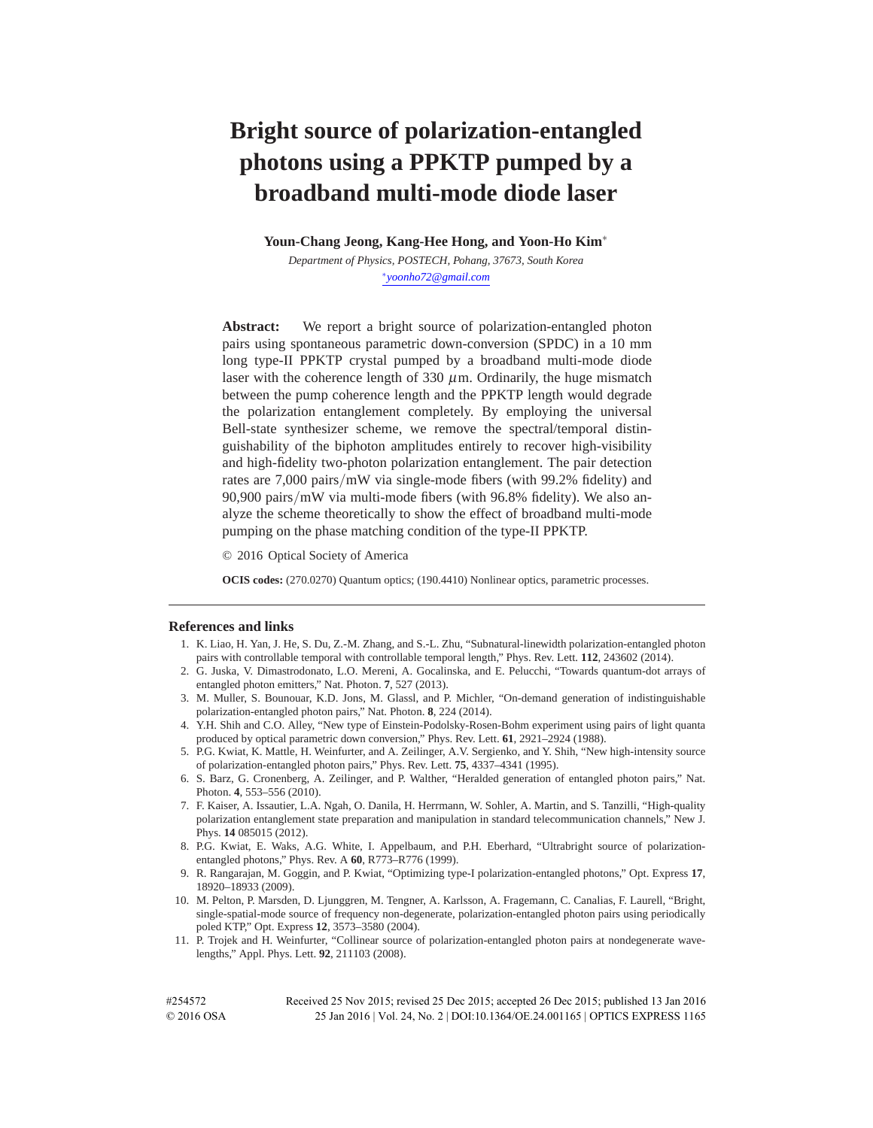# **Bright source of polarization-entangled photons using a PPKTP pumped by a broadband multi-mode diode laser**

**Youn-Chang Jeong, Kang-Hee Hong, and Yoon-Ho Kim**∗

*Department of Physics, POSTECH, Pohang, 37673, South Korea* ∗*yoonho72@gmail.com*

Abstract: We report a bright source of polarization-entangled photon pairs using spontaneous parametric down-conversion (SPDC) in a 10 mm long type-II PPKTP crystal pumped by a broadband multi-mode diode laser with the coherence length of  $330 \mu$ m. Ordinarily, the huge mismatch between the pump coherence length and the PPKTP length would degrade the polarization entanglement completely. By employing the universal Bell-state synthesizer scheme, we remove the spectral/temporal distinguishability of the biphoton amplitudes entirely to recover high-visibility and high-fidelity two-photon polarization entanglement. The pair detection rates are 7,000 pairs*/*mW via single-mode fibers (with 99.2% fidelity) and 90,900 pairs*/*mW via multi-mode fibers (with 96.8% fidelity). We also analyze the scheme theoretically to show the effect of broadband multi-mode pumping on the phase matching condition of the type-II PPKTP.

© 2016 Optical Society of America

**OCIS codes:** (270.0270) Quantum optics; (190.4410) Nonlinear optics, parametric processes.

#### **References and links**

- 1. K. Liao, H. Yan, J. He, S. Du, Z.-M. Zhang, and S.-L. Zhu, "Subnatural-linewidth polarization-entangled photon pairs with controllable temporal with controllable temporal length," Phys. Rev. Lett. **112**, 243602 (2014).
- 2. G. Juska, V. Dimastrodonato, L.O. Mereni, A. Gocalinska, and E. Pelucchi, "Towards quantum-dot arrays of entangled photon emitters," Nat. Photon. **7**, 527 (2013).
- 3. M. Muller, S. Bounouar, K.D. Jons, M. Glassl, and P. Michler, "On-demand generation of indistinguishable polarization-entangled photon pairs," Nat. Photon. **8**, 224 (2014).
- 4. Y.H. Shih and C.O. Alley, "New type of Einstein-Podolsky-Rosen-Bohm experiment using pairs of light quanta produced by optical parametric down conversion," Phys. Rev. Lett. **61**, 2921–2924 (1988).
- 5. P.G. Kwiat, K. Mattle, H. Weinfurter, and A. Zeilinger, A.V. Sergienko, and Y. Shih, "New high-intensity source of polarization-entangled photon pairs," Phys. Rev. Lett. **75**, 4337–4341 (1995).
- 6. S. Barz, G. Cronenberg, A. Zeilinger, and P. Walther, "Heralded generation of entangled photon pairs," Nat. Photon. **4**, 553–556 (2010).
- 7. F. Kaiser, A. Issautier, L.A. Ngah, O. Danila, H. Herrmann, W. Sohler, A. Martin, and S. Tanzilli, "High-quality polarization entanglement state preparation and manipulation in standard telecommunication channels," New J. Phys. **14** 085015 (2012).
- 8. P.G. Kwiat, E. Waks, A.G. White, I. Appelbaum, and P.H. Eberhard, "Ultrabright source of polarizationentangled photons," Phys. Rev. A **60**, R773–R776 (1999).
- 9. R. Rangarajan, M. Goggin, and P. Kwiat, "Optimizing type-I polarization-entangled photons," Opt. Express **17**, 18920–18933 (2009).
- 10. M. Pelton, P. Marsden, D. Ljunggren, M. Tengner, A. Karlsson, A. Fragemann, C. Canalias, F. Laurell, "Bright, single-spatial-mode source of frequency non-degenerate, polarization-entangled photon pairs using periodically poled KTP," Opt. Express **12**, 3573–3580 (2004).
- 11. P. Trojek and H. Weinfurter, "Collinear source of polarization-entangled photon pairs at nondegenerate wavelengths," Appl. Phys. Lett. **92**, 211103 (2008).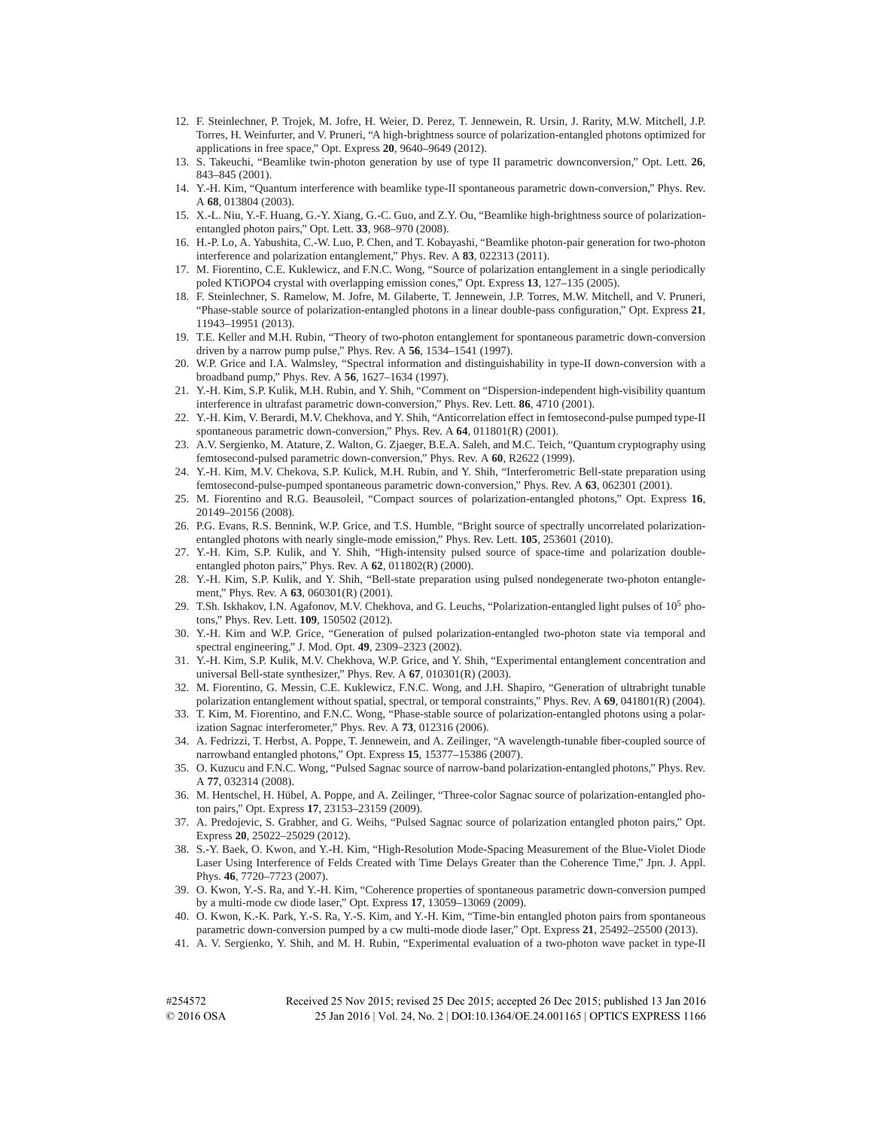- 12. F. Steinlechner, P. Trojek, M. Jofre, H. Weier, D. Perez, T. Jennewein, R. Ursin, J. Rarity, M.W. Mitchell, J.P. Torres, H. Weinfurter, and V. Pruneri, "A high-brightness source of polarization-entangled photons optimized for applications in free space," Opt. Express **20**, 9640–9649 (2012).
- 13. S. Takeuchi, "Beamlike twin-photon generation by use of type II parametric downconversion," Opt. Lett. **26**, 843–845 (2001).
- 14. Y.-H. Kim, "Quantum interference with beamlike type-II spontaneous parametric down-conversion," Phys. Rev. A **68**, 013804 (2003).
- 15. X.-L. Niu, Y.-F. Huang, G.-Y. Xiang, G.-C. Guo, and Z.Y. Ou, "Beamlike high-brightness source of polarizationentangled photon pairs," Opt. Lett. **33**, 968–970 (2008).
- 16. H.-P. Lo, A. Yabushita, C.-W. Luo, P. Chen, and T. Kobayashi, "Beamlike photon-pair generation for two-photon interference and polarization entanglement," Phys. Rev. A **83**, 022313 (2011).
- 17. M. Fiorentino, C.E. Kuklewicz, and F.N.C. Wong, "Source of polarization entanglement in a single periodically poled KTiOPO4 crystal with overlapping emission cones," Opt. Express **13**, 127–135 (2005).
- 18. F. Steinlechner, S. Ramelow, M. Jofre, M. Gilaberte, T. Jennewein, J.P. Torres, M.W. Mitchell, and V. Pruneri, "Phase-stable source of polarization-entangled photons in a linear double-pass configuration," Opt. Express **21**, 11943–19951 (2013).
- 19. T.E. Keller and M.H. Rubin, "Theory of two-photon entanglement for spontaneous parametric down-conversion driven by a narrow pump pulse," Phys. Rev. A **56**, 1534–1541 (1997).
- 20. W.P. Grice and I.A. Walmsley, "Spectral information and distinguishability in type-II down-conversion with a broadband pump," Phys. Rev. A **56**, 1627–1634 (1997).
- 21. Y.-H. Kim, S.P. Kulik, M.H. Rubin, and Y. Shih, "Comment on "Dispersion-independent high-visibility quantum interference in ultrafast parametric down-conversion," Phys. Rev. Lett. **86**, 4710 (2001).
- 22. Y.-H. Kim, V. Berardi, M.V. Chekhova, and Y. Shih, "Anticorrelation effect in femtosecond-pulse pumped type-II spontaneous parametric down-conversion," Phys. Rev. A **64**, 011801(R) (2001).
- 23. A.V. Sergienko, M. Atature, Z. Walton, G. Zjaeger, B.E.A. Saleh, and M.C. Teich, "Quantum cryptography using femtosecond-pulsed parametric down-conversion," Phys. Rev. A **60**, R2622 (1999).
- 24. Y.-H. Kim, M.V. Chekova, S.P. Kulick, M.H. Rubin, and Y. Shih, "Interferometric Bell-state preparation using femtosecond-pulse-pumped spontaneous parametric down-conversion," Phys. Rev. A **63**, 062301 (2001).
- 25. M. Fiorentino and R.G. Beausoleil, "Compact sources of polarization-entangled photons," Opt. Express **16**, 20149–20156 (2008).
- 26. P.G. Evans, R.S. Bennink, W.P. Grice, and T.S. Humble, "Bright source of spectrally uncorrelated polarizationentangled photons with nearly single-mode emission," Phys. Rev. Lett. **105**, 253601 (2010).
- 27. Y.-H. Kim, S.P. Kulik, and Y. Shih, "High-intensity pulsed source of space-time and polarization doubleentangled photon pairs," Phys. Rev. A **62**, 011802(R) (2000).
- 28. Y.-H. Kim, S.P. Kulik, and Y. Shih, "Bell-state preparation using pulsed nondegenerate two-photon entanglement," Phys. Rev. A **63**, 060301(R) (2001).
- 29. T.Sh. Iskhakov, I.N. Agafonov, M.V. Chekhova, and G. Leuchs, "Polarization-entangled light pulses of  $10^5$  photons," Phys. Rev. Lett. **109**, 150502 (2012).
- 30. Y.-H. Kim and W.P. Grice, "Generation of pulsed polarization-entangled two-photon state via temporal and spectral engineering," J. Mod. Opt. **49**, 2309–2323 (2002).
- 31. Y.-H. Kim, S.P. Kulik, M.V. Chekhova, W.P. Grice, and Y. Shih, "Experimental entanglement concentration and universal Bell-state synthesizer," Phys. Rev. A **67**, 010301(R) (2003).
- 32. M. Fiorentino, G. Messin, C.E. Kuklewicz, F.N.C. Wong, and J.H. Shapiro, "Generation of ultrabright tunable polarization entanglement without spatial, spectral, or temporal constraints," Phys. Rev. A **69**, 041801(R) (2004).
- 33. T. Kim, M. Fiorentino, and F.N.C. Wong, "Phase-stable source of polarization-entangled photons using a polarization Sagnac interferometer," Phys. Rev. A **73**, 012316 (2006).
- 34. A. Fedrizzi, T. Herbst, A. Poppe, T. Jennewein, and A. Zeilinger, "A wavelength-tunable fiber-coupled source of narrowband entangled photons," Opt. Express **15**, 15377–15386 (2007).
- 35. O. Kuzucu and F.N.C. Wong, "Pulsed Sagnac source of narrow-band polarization-entangled photons," Phys. Rev. A **77**, 032314 (2008).
- 36. M. Hentschel, H. Hubel, A. Poppe, and A. Zeilinger, "Three-color Sagnac source of polarization-entangled pho- ¨ ton pairs," Opt. Express **17**, 23153–23159 (2009).
- 37. A. Predojevic, S. Grabher, and G. Weihs, "Pulsed Sagnac source of polarization entangled photon pairs," Opt. Express **20**, 25022–25029 (2012).
- 38. S.-Y. Baek, O. Kwon, and Y.-H. Kim, "High-Resolution Mode-Spacing Measurement of the Blue-Violet Diode Laser Using Interference of Felds Created with Time Delays Greater than the Coherence Time," Jpn. J. Appl. Phys. **46**, 7720–7723 (2007).
- 39. O. Kwon, Y.-S. Ra, and Y.-H. Kim, "Coherence properties of spontaneous parametric down-conversion pumped by a multi-mode cw diode laser," Opt. Express **17**, 13059–13069 (2009).
- 40. O. Kwon, K.-K. Park, Y.-S. Ra, Y.-S. Kim, and Y.-H. Kim, "Time-bin entangled photon pairs from spontaneous parametric down-conversion pumped by a cw multi-mode diode laser," Opt. Express **21**, 25492–25500 (2013).
- 41. A. V. Sergienko, Y. Shih, and M. H. Rubin, "Experimental evaluation of a two-photon wave packet in type-II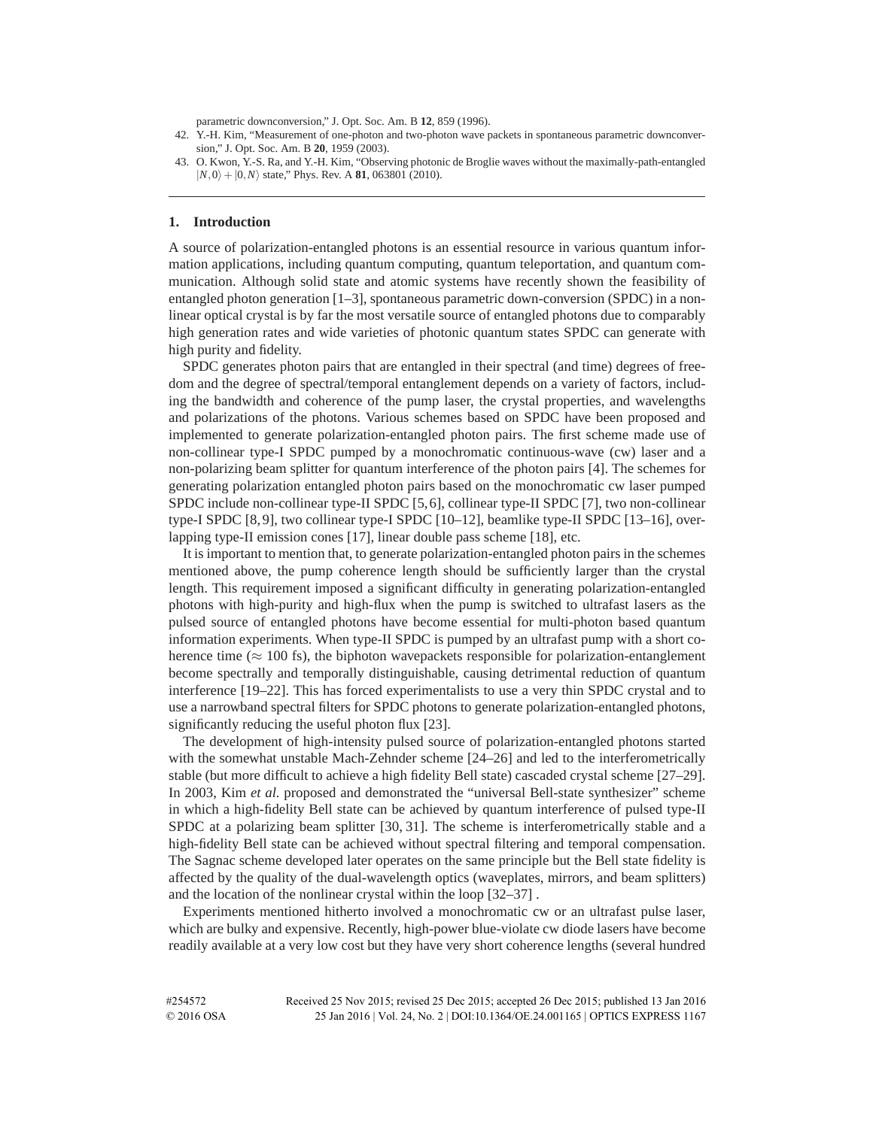parametric downconversion," J. Opt. Soc. Am. B **12**, 859 (1996).

#### **1. Introduction**

A source of polarization-entangled photons is an essential resource in various quantum information applications, including quantum computing, quantum teleportation, and quantum communication. Although solid state and atomic systems have recently shown the feasibility of entangled photon generation [1–3], spontaneous parametric down-conversion (SPDC) in a nonlinear optical crystal is by far the most versatile source of entangled photons due to comparably high generation rates and wide varieties of photonic quantum states SPDC can generate with high purity and fidelity.

SPDC generates photon pairs that are entangled in their spectral (and time) degrees of freedom and the degree of spectral/temporal entanglement depends on a variety of factors, including the bandwidth and coherence of the pump laser, the crystal properties, and wavelengths and polarizations of the photons. Various schemes based on SPDC have been proposed and implemented to generate polarization-entangled photon pairs. The first scheme made use of non-collinear type-I SPDC pumped by a monochromatic continuous-wave (cw) laser and a non-polarizing beam splitter for quantum interference of the photon pairs [4]. The schemes for generating polarization entangled photon pairs based on the monochromatic cw laser pumped SPDC include non-collinear type-II SPDC [5, 6], collinear type-II SPDC [7], two non-collinear type-I SPDC [8, 9], two collinear type-I SPDC [10–12], beamlike type-II SPDC [13–16], overlapping type-II emission cones [17], linear double pass scheme [18], etc.

It is important to mention that, to generate polarization-entangled photon pairs in the schemes mentioned above, the pump coherence length should be sufficiently larger than the crystal length. This requirement imposed a significant difficulty in generating polarization-entangled photons with high-purity and high-flux when the pump is switched to ultrafast lasers as the pulsed source of entangled photons have become essential for multi-photon based quantum information experiments. When type-II SPDC is pumped by an ultrafast pump with a short coherence time ( $\approx 100$  fs), the biphoton wavepackets responsible for polarization-entanglement become spectrally and temporally distinguishable, causing detrimental reduction of quantum interference [19–22]. This has forced experimentalists to use a very thin SPDC crystal and to use a narrowband spectral filters for SPDC photons to generate polarization-entangled photons, significantly reducing the useful photon flux [23].

The development of high-intensity pulsed source of polarization-entangled photons started with the somewhat unstable Mach-Zehnder scheme [24–26] and led to the interferometrically stable (but more difficult to achieve a high fidelity Bell state) cascaded crystal scheme [27–29]. In 2003, Kim *et al.* proposed and demonstrated the "universal Bell-state synthesizer" scheme in which a high-fidelity Bell state can be achieved by quantum interference of pulsed type-II SPDC at a polarizing beam splitter [30, 31]. The scheme is interferometrically stable and a high-fidelity Bell state can be achieved without spectral filtering and temporal compensation. The Sagnac scheme developed later operates on the same principle but the Bell state fidelity is affected by the quality of the dual-wavelength optics (waveplates, mirrors, and beam splitters) and the location of the nonlinear crystal within the loop [32–37] .

Experiments mentioned hitherto involved a monochromatic cw or an ultrafast pulse laser, which are bulky and expensive. Recently, high-power blue-violate cw diode lasers have become readily available at a very low cost but they have very short coherence lengths (several hundred

<sup>42.</sup> Y.-H. Kim, "Measurement of one-photon and two-photon wave packets in spontaneous parametric downconversion," J. Opt. Soc. Am. B **20**, 1959 (2003).

<sup>43.</sup> O. Kwon, Y.-S. Ra, and Y.-H. Kim, "Observing photonic de Broglie waves without the maximally-path-entangled  $|N,0\rangle + |0,N\rangle$  state," Phys. Rev. A **81**, 063801 (2010).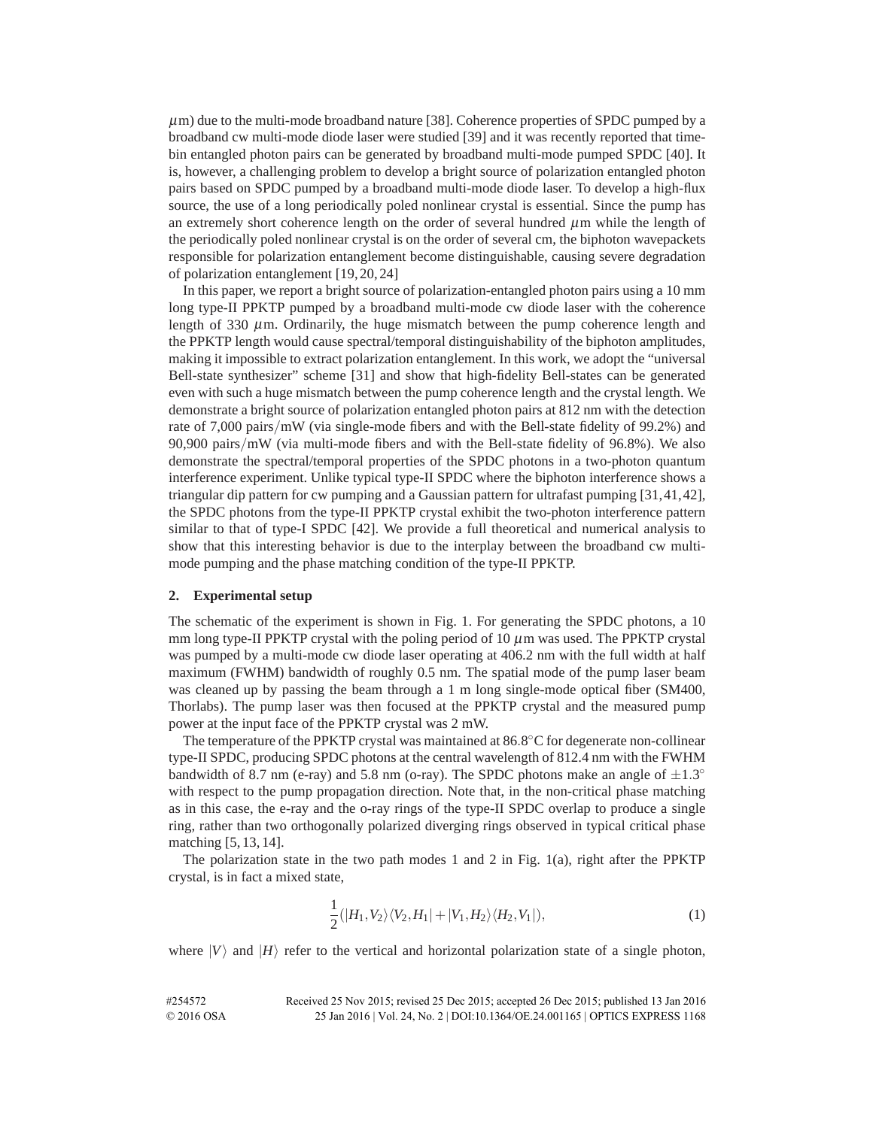$\mu$ m) due to the multi-mode broadband nature [38]. Coherence properties of SPDC pumped by a broadband cw multi-mode diode laser were studied [39] and it was recently reported that timebin entangled photon pairs can be generated by broadband multi-mode pumped SPDC [40]. It is, however, a challenging problem to develop a bright source of polarization entangled photon pairs based on SPDC pumped by a broadband multi-mode diode laser. To develop a high-flux source, the use of a long periodically poled nonlinear crystal is essential. Since the pump has an extremely short coherence length on the order of several hundred  $\mu$ m while the length of the periodically poled nonlinear crystal is on the order of several cm, the biphoton wavepackets responsible for polarization entanglement become distinguishable, causing severe degradation of polarization entanglement [19, 20, 24]

In this paper, we report a bright source of polarization-entangled photon pairs using a 10 mm long type-II PPKTP pumped by a broadband multi-mode cw diode laser with the coherence length of 330  $\mu$ m. Ordinarily, the huge mismatch between the pump coherence length and the PPKTP length would cause spectral/temporal distinguishability of the biphoton amplitudes, making it impossible to extract polarization entanglement. In this work, we adopt the "universal Bell-state synthesizer" scheme [31] and show that high-fidelity Bell-states can be generated even with such a huge mismatch between the pump coherence length and the crystal length. We demonstrate a bright source of polarization entangled photon pairs at 812 nm with the detection rate of 7,000 pairs*/*mW (via single-mode fibers and with the Bell-state fidelity of 99.2%) and 90,900 pairs*/*mW (via multi-mode fibers and with the Bell-state fidelity of 96.8%). We also demonstrate the spectral/temporal properties of the SPDC photons in a two-photon quantum interference experiment. Unlike typical type-II SPDC where the biphoton interference shows a triangular dip pattern for cw pumping and a Gaussian pattern for ultrafast pumping [31, 41, 42], the SPDC photons from the type-II PPKTP crystal exhibit the two-photon interference pattern similar to that of type-I SPDC [42]. We provide a full theoretical and numerical analysis to show that this interesting behavior is due to the interplay between the broadband cw multimode pumping and the phase matching condition of the type-II PPKTP.

#### **2. Experimental setup**

The schematic of the experiment is shown in Fig. 1. For generating the SPDC photons, a 10 mm long type-II PPKTP crystal with the poling period of 10  $\mu$ m was used. The PPKTP crystal was pumped by a multi-mode cw diode laser operating at 406.2 nm with the full width at half maximum (FWHM) bandwidth of roughly 0.5 nm. The spatial mode of the pump laser beam was cleaned up by passing the beam through a 1 m long single-mode optical fiber (SM400, Thorlabs). The pump laser was then focused at the PPKTP crystal and the measured pump power at the input face of the PPKTP crystal was 2 mW.

The temperature of the PPKTP crystal was maintained at 86*.*8◦C for degenerate non-collinear type-II SPDC, producing SPDC photons at the central wavelength of 812.4 nm with the FWHM bandwidth of 8.7 nm (e-ray) and 5.8 nm (o-ray). The SPDC photons make an angle of  $\pm 1.3^\circ$ with respect to the pump propagation direction. Note that, in the non-critical phase matching as in this case, the e-ray and the o-ray rings of the type-II SPDC overlap to produce a single ring, rather than two orthogonally polarized diverging rings observed in typical critical phase matching [5, 13, 14].

The polarization state in the two path modes 1 and 2 in Fig.  $1(a)$ , right after the PPKTP crystal, is in fact a mixed state,

$$
\frac{1}{2}(|H_1,V_2\rangle\langle V_2,H_1|+|V_1,H_2\rangle\langle H_2,V_1|),\tag{1}
$$

where  $|V\rangle$  and  $|H\rangle$  refer to the vertical and horizontal polarization state of a single photon,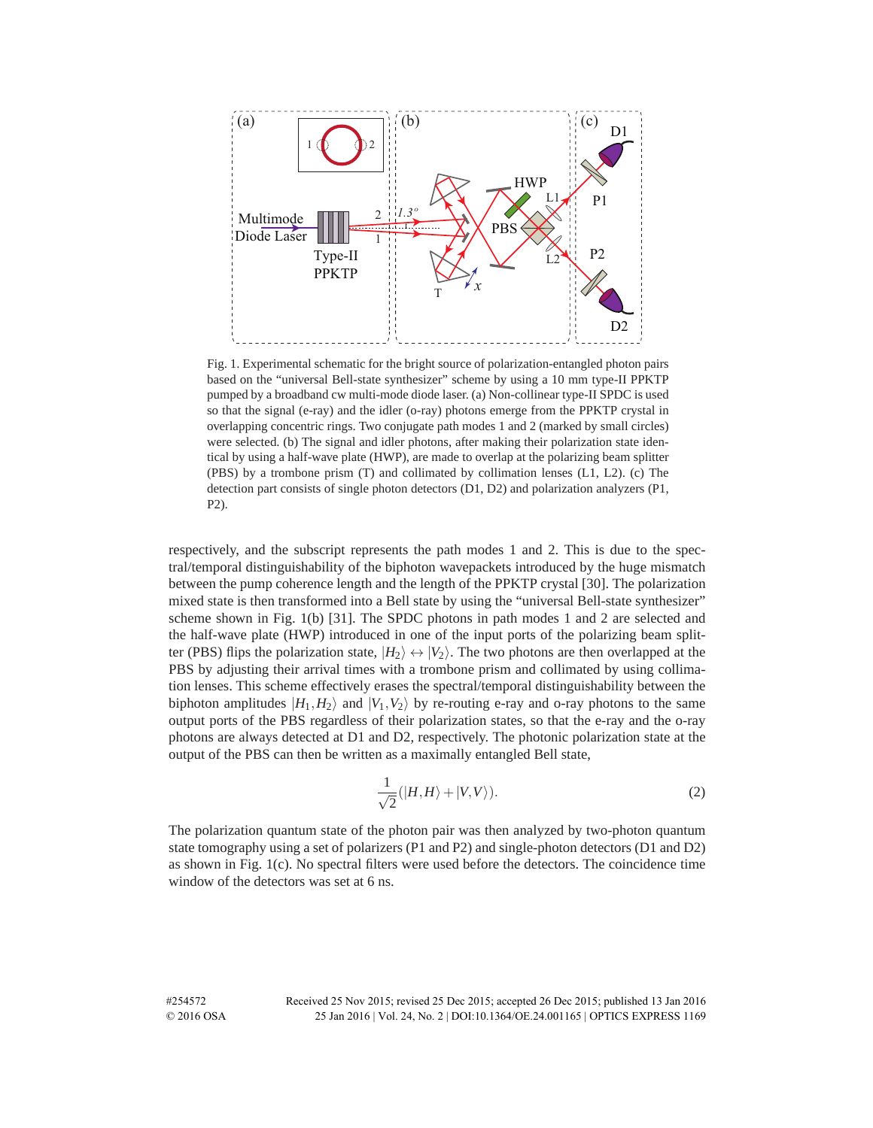

Fig. 1. Experimental schematic for the bright source of polarization-entangled photon pairs based on the "universal Bell-state synthesizer" scheme by using a 10 mm type-II PPKTP pumped by a broadband cw multi-mode diode laser. (a) Non-collinear type-II SPDC is used so that the signal (e-ray) and the idler (o-ray) photons emerge from the PPKTP crystal in overlapping concentric rings. Two conjugate path modes 1 and 2 (marked by small circles) were selected. (b) The signal and idler photons, after making their polarization state identical by using a half-wave plate (HWP), are made to overlap at the polarizing beam splitter (PBS) by a trombone prism (T) and collimated by collimation lenses (L1, L2). (c) The detection part consists of single photon detectors (D1, D2) and polarization analyzers (P1, P2).

respectively, and the subscript represents the path modes 1 and 2. This is due to the spectral/temporal distinguishability of the biphoton wavepackets introduced by the huge mismatch between the pump coherence length and the length of the PPKTP crystal [30]. The polarization mixed state is then transformed into a Bell state by using the "universal Bell-state synthesizer" scheme shown in Fig. 1(b) [31]. The SPDC photons in path modes 1 and 2 are selected and the half-wave plate (HWP) introduced in one of the input ports of the polarizing beam splitter (PBS) flips the polarization state,  $|H_2\rangle \leftrightarrow |V_2\rangle$ . The two photons are then overlapped at the PBS by adjusting their arrival times with a trombone prism and collimated by using collimation lenses. This scheme effectively erases the spectral/temporal distinguishability between the biphoton amplitudes  $|H_1,H_2\rangle$  and  $|V_1,V_2\rangle$  by re-routing e-ray and o-ray photons to the same output ports of the PBS regardless of their polarization states, so that the e-ray and the o-ray photons are always detected at D1 and D2, respectively. The photonic polarization state at the output of the PBS can then be written as a maximally entangled Bell state,

$$
\frac{1}{\sqrt{2}}(|H,H\rangle+|V,V\rangle). \tag{2}
$$

The polarization quantum state of the photon pair was then analyzed by two-photon quantum state tomography using a set of polarizers (P1 and P2) and single-photon detectors (D1 and D2) as shown in Fig. 1(c). No spectral filters were used before the detectors. The coincidence time window of the detectors was set at 6 ns.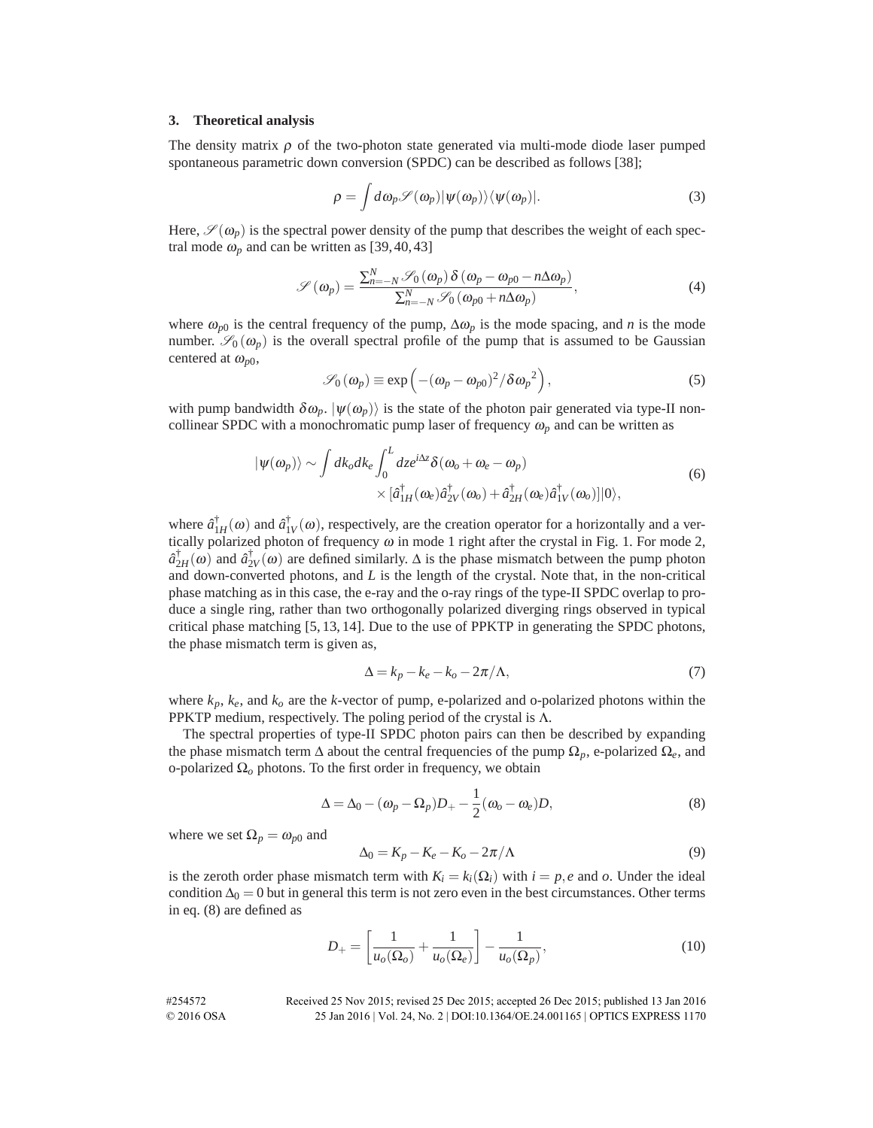#### **3. Theoretical analysis**

The density matrix  $\rho$  of the two-photon state generated via multi-mode diode laser pumped spontaneous parametric down conversion (SPDC) can be described as follows [38];

$$
\rho = \int d\omega_p \mathscr{S}(\omega_p) |\psi(\omega_p)\rangle \langle \psi(\omega_p)|. \tag{3}
$$

Here,  $\mathscr{S}(\omega_p)$  is the spectral power density of the pump that describes the weight of each spectral mode  $\omega_p$  and can be written as [39, 40, 43]

$$
\mathscr{S}(\omega_p) = \frac{\sum_{n=-N}^{N} \mathscr{S}_0(\omega_p) \, \delta(\omega_p - \omega_{p0} - n \Delta \omega_p)}{\sum_{n=-N}^{N} \mathscr{S}_0(\omega_{p0} + n \Delta \omega_p)},\tag{4}
$$

where  $\omega_{p0}$  is the central frequency of the pump,  $\Delta \omega_p$  is the mode spacing, and *n* is the mode number.  $\mathscr{S}_0(\omega_p)$  is the overall spectral profile of the pump that is assumed to be Gaussian centered at  $\omega_{p0}$ ,

$$
\mathscr{S}_0(\omega_p) \equiv \exp\left(-(\omega_p - \omega_{p0})^2/\delta \omega_p^2\right),\tag{5}
$$

with pump bandwidth  $\delta \omega_p$ .  $|\psi(\omega_p)\rangle$  is the state of the photon pair generated via type-II noncollinear SPDC with a monochromatic pump laser of frequency  $\omega_p$  and can be written as

$$
|\psi(\omega_p)\rangle \sim \int dk_o dk_e \int_0^L dz e^{i\Delta z} \delta(\omega_o + \omega_e - \omega_p) \times [\hat{a}_{1H}^\dagger(\omega_e)\hat{a}_{2V}^\dagger(\omega_o) + \hat{a}_{2H}^\dagger(\omega_e)\hat{a}_{1V}^\dagger(\omega_o)]|0\rangle, \tag{6}
$$

where  $\hat{a}_{1H}^{\dagger}(\omega)$  and  $\hat{a}_{1V}^{\dagger}(\omega)$ , respectively, are the creation operator for a horizontally and a vertically polarized photon of frequency  $\omega$  in mode 1 right after the crystal in Fig. 1. For mode 2,  $\hat{a}_{2H}^{\dagger}(\omega)$  and  $\hat{a}_{2V}^{\dagger}(\omega)$  are defined similarly.  $\Delta$  is the phase mismatch between the pump photon and down-converted photons, and *L* is the length of the crystal. Note that, in the non-critical phase matching as in this case, the e-ray and the o-ray rings of the type-II SPDC overlap to produce a single ring, rather than two orthogonally polarized diverging rings observed in typical critical phase matching [5, 13, 14]. Due to the use of PPKTP in generating the SPDC photons, the phase mismatch term is given as,

$$
\Delta = k_p - k_e - k_o - 2\pi/\Lambda,\tag{7}
$$

where  $k_p$ ,  $k_e$ , and  $k_o$  are the *k*-vector of pump, e-polarized and o-polarized photons within the PPKTP medium, respectively. The poling period of the crystal is  $\Lambda$ .

The spectral properties of type-II SPDC photon pairs can then be described by expanding the phase mismatch term  $\Delta$  about the central frequencies of the pump  $\Omega_p$ , e-polarized  $\Omega_e$ , and o-polarized Ω*<sup>o</sup>* photons. To the first order in frequency, we obtain

$$
\Delta = \Delta_0 - (\omega_p - \Omega_p)D_+ - \frac{1}{2}(\omega_o - \omega_e)D, \tag{8}
$$

where we set  $\Omega_p = \omega_{p0}$  and

$$
\Delta_0 = K_p - K_e - K_o - 2\pi/\Lambda \tag{9}
$$

is the zeroth order phase mismatch term with  $K_i = k_i(\Omega_i)$  with  $i = p, e$  and *o*. Under the ideal condition  $\Delta_0 = 0$  but in general this term is not zero even in the best circumstances. Other terms in eq. (8) are defined as

$$
D_{+} = \left[\frac{1}{u_o(\Omega_o)} + \frac{1}{u_o(\Omega_e)}\right] - \frac{1}{u_o(\Omega_p)},\tag{10}
$$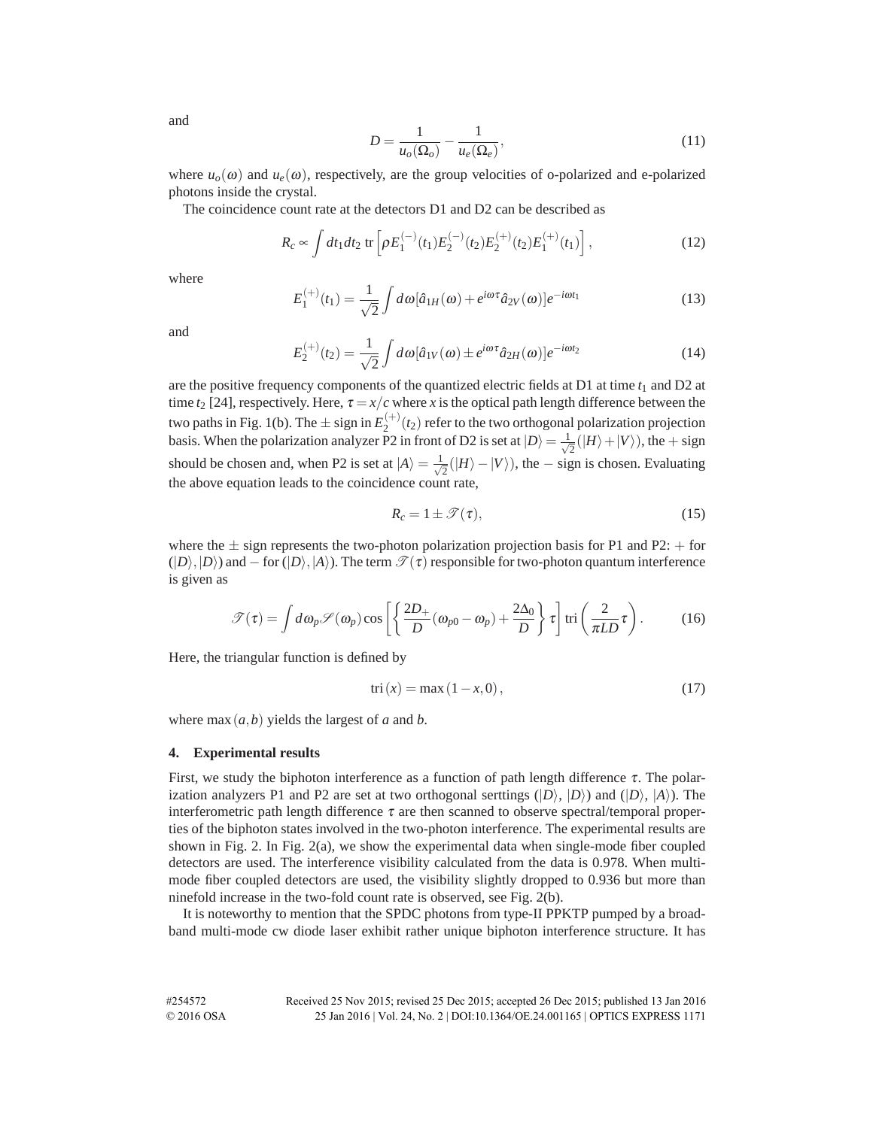and

$$
D = \frac{1}{u_o(\Omega_o)} - \frac{1}{u_e(\Omega_e)},\tag{11}
$$

where  $u_0(\omega)$  and  $u_\ell(\omega)$ , respectively, are the group velocities of o-polarized and e-polarized photons inside the crystal.

The coincidence count rate at the detectors D1 and D2 can be described as

$$
R_c \propto \int dt_1 dt_2 \, \text{tr}\left[\rho E_1^{(-)}(t_1) E_2^{(-)}(t_2) E_2^{(+)}(t_2) E_1^{(+)}(t_1)\right],\tag{12}
$$

where

$$
E_1^{(+)}(t_1) = \frac{1}{\sqrt{2}} \int d\omega [\hat{a}_{1H}(\omega) + e^{i\omega \tau} \hat{a}_{2V}(\omega)] e^{-i\omega t_1}
$$
(13)

and

$$
E_2^{(+)}(t_2) = \frac{1}{\sqrt{2}} \int d\omega [\hat{a}_{1V}(\omega) \pm e^{i\omega \tau} \hat{a}_{2H}(\omega)] e^{-i\omega t_2}
$$
(14)

are the positive frequency components of the quantized electric fields at  $D1$  at time  $t_1$  and  $D2$  at time  $t_2$  [24], respectively. Here,  $\tau = x/c$  where *x* is the optical path length difference between the two paths in Fig. 1(b). The  $\pm$  sign in  $E_2^{(+)}(t_2)$  refer to the two orthogonal polarization projection basis. When the polarization analyzer P2 in front of D2 is set at  $|D\rangle = \frac{1}{\sqrt{2}}(|H\rangle + |V\rangle)$ , the + sign should be chosen and, when P2 is set at  $|A\rangle = \frac{1}{\sqrt{2}}(|H\rangle - |V\rangle)$ , the – sign is chosen. Evaluating the above equation leads to the coincidence count rate,

$$
R_c = 1 \pm \mathcal{T}(\tau), \tag{15}
$$

where the  $\pm$  sign represents the two-photon polarization projection basis for P1 and P2:  $+$  for  $(|D\rangle, |D\rangle)$  and  $-$  for  $(|D\rangle, |A\rangle)$ . The term  $\mathcal{T}(\tau)$  responsible for two-photon quantum interference is given as

$$
\mathscr{T}(\tau) = \int d\omega_p \mathscr{S}(\omega_p) \cos \left[ \left\{ \frac{2D_+}{D} (\omega_{p0} - \omega_p) + \frac{2\Delta_0}{D} \right\} \tau \right] \text{tri} \left( \frac{2}{\pi L D} \tau \right). \tag{16}
$$

Here, the triangular function is defined by

$$
tri(x) = max(1 - x, 0),
$$
 (17)

where  $max(a, b)$  yields the largest of *a* and *b*.

#### **4. Experimental results**

First, we study the biphoton interference as a function of path length difference  $\tau$ . The polarization analyzers P1 and P2 are set at two orthogonal serttings  $(|D\rangle, |D\rangle)$  and  $(|D\rangle, |A\rangle)$ . The interferometric path length difference  $\tau$  are then scanned to observe spectral/temporal properties of the biphoton states involved in the two-photon interference. The experimental results are shown in Fig. 2. In Fig. 2(a), we show the experimental data when single-mode fiber coupled detectors are used. The interference visibility calculated from the data is 0.978. When multimode fiber coupled detectors are used, the visibility slightly dropped to 0.936 but more than ninefold increase in the two-fold count rate is observed, see Fig. 2(b).

It is noteworthy to mention that the SPDC photons from type-II PPKTP pumped by a broadband multi-mode cw diode laser exhibit rather unique biphoton interference structure. It has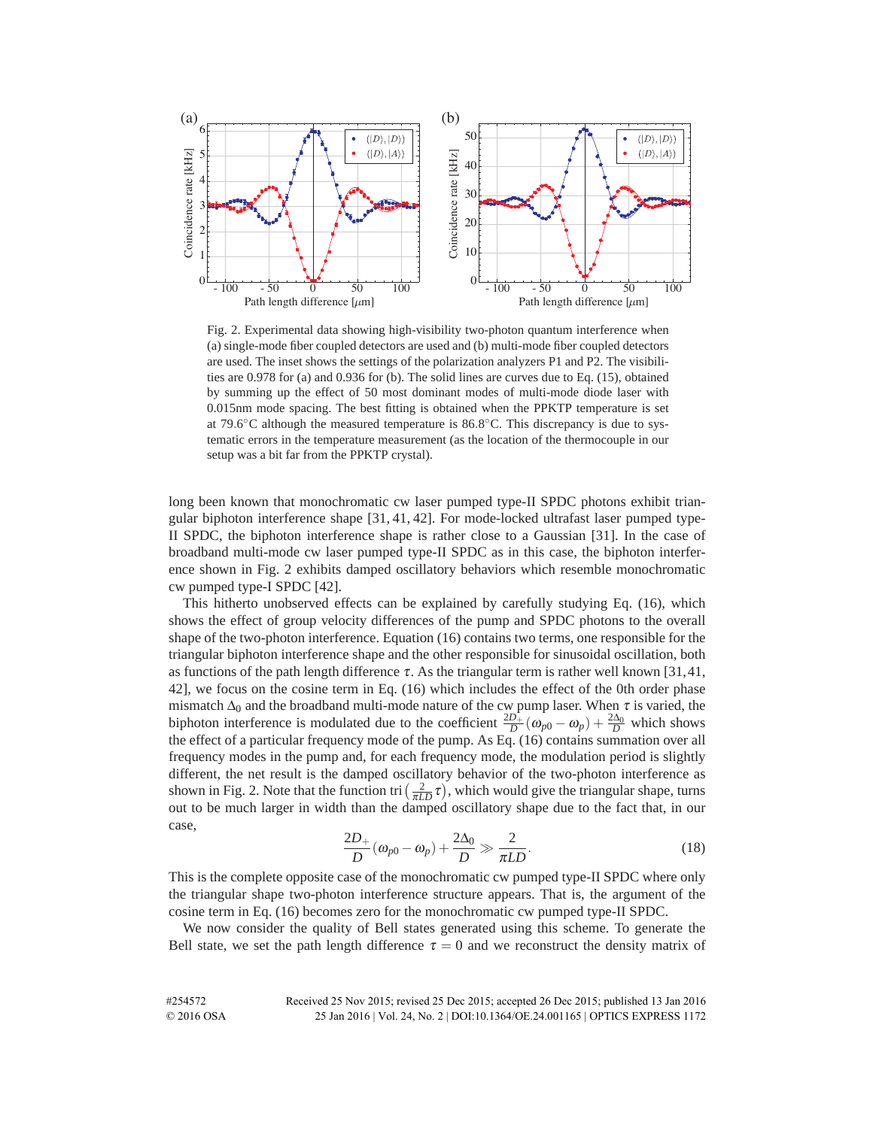

Fig. 2. Experimental data showing high-visibility two-photon quantum interference when (a) single-mode fiber coupled detectors are used and (b) multi-mode fiber coupled detectors are used. The inset shows the settings of the polarization analyzers P1 and P2. The visibilities are 0.978 for (a) and 0.936 for (b). The solid lines are curves due to Eq. (15), obtained by summing up the effect of 50 most dominant modes of multi-mode diode laser with 0.015nm mode spacing. The best fitting is obtained when the PPKTP temperature is set at 79*.*6◦C although the measured temperature is 86*.*8◦C. This discrepancy is due to systematic errors in the temperature measurement (as the location of the thermocouple in our setup was a bit far from the PPKTP crystal).

long been known that monochromatic cw laser pumped type-II SPDC photons exhibit triangular biphoton interference shape [31, 41, 42]. For mode-locked ultrafast laser pumped type-II SPDC, the biphoton interference shape is rather close to a Gaussian [31]. In the case of broadband multi-mode cw laser pumped type-II SPDC as in this case, the biphoton interference shown in Fig. 2 exhibits damped oscillatory behaviors which resemble monochromatic cw pumped type-I SPDC [42].

This hitherto unobserved effects can be explained by carefully studying Eq. (16), which shows the effect of group velocity differences of the pump and SPDC photons to the overall shape of the two-photon interference. Equation (16) contains two terms, one responsible for the triangular biphoton interference shape and the other responsible for sinusoidal oscillation, both as functions of the path length difference  $\tau$ . As the triangular term is rather well known [31,41, 42], we focus on the cosine term in Eq. (16) which includes the effect of the 0th order phase mismatch  $\Delta_0$  and the broadband multi-mode nature of the cw pump laser. When  $\tau$  is varied, the biphoton interference is modulated due to the coefficient  $\frac{2D_+}{D}(\omega_{p0} - \omega_p) + \frac{2\Delta_0}{D}$  which shows the effect of a particular frequency mode of the pump. As Eq. (16) contains summation over all frequency modes in the pump and, for each frequency mode, the modulation period is slightly different, the net result is the damped oscillatory behavior of the two-photon interference as shown in Fig. 2. Note that the function tri  $\left(\frac{2}{\pi LD}\tau\right)$ , which would give the triangular shape, turns out to be much larger in width than the damped oscillatory shape due to the fact that, in our case,

$$
\frac{2D_+}{D}(\omega_{p0} - \omega_p) + \frac{2\Delta_0}{D} \gg \frac{2}{\pi LD}.
$$
\n(18)

This is the complete opposite case of the monochromatic cw pumped type-II SPDC where only the triangular shape two-photon interference structure appears. That is, the argument of the cosine term in Eq. (16) becomes zero for the monochromatic cw pumped type-II SPDC.

We now consider the quality of Bell states generated using this scheme. To generate the Bell state, we set the path length difference  $\tau = 0$  and we reconstruct the density matrix of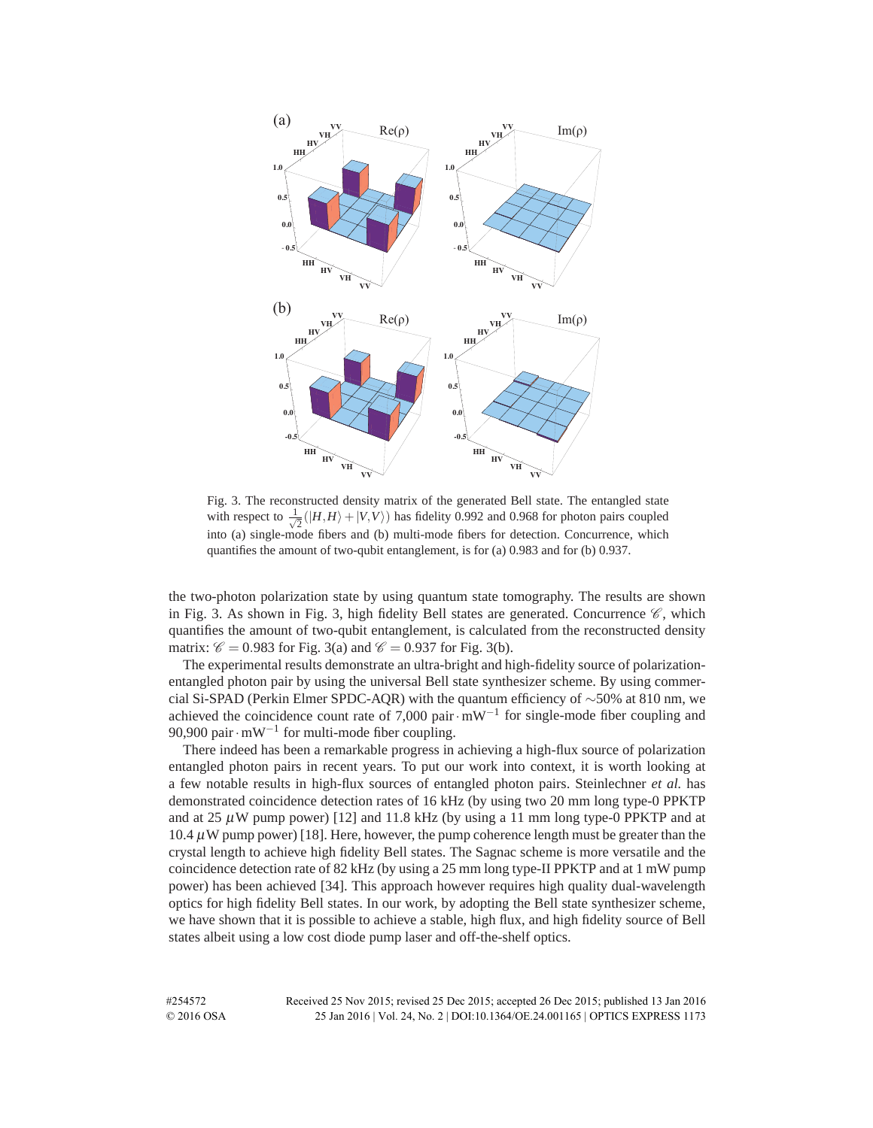

Fig. 3. The reconstructed density matrix of the generated Bell state. The entangled state with respect to  $\frac{1}{\sqrt{2}}$  $\frac{1}{2}$ ( $|H,H\rangle + |V,V\rangle$ ) has fidelity 0.992 and 0.968 for photon pairs coupled into (a) single-mode fibers and (b) multi-mode fibers for detection. Concurrence, which quantifies the amount of two-qubit entanglement, is for (a) 0.983 and for (b) 0.937.

the two-photon polarization state by using quantum state tomography. The results are shown in Fig. 3. As shown in Fig. 3, high fidelity Bell states are generated. Concurrence  $\mathscr{C}$ , which quantifies the amount of two-qubit entanglement, is calculated from the reconstructed density matrix:  $\mathcal{C} = 0.983$  for Fig. 3(a) and  $\mathcal{C} = 0.937$  for Fig. 3(b).

The experimental results demonstrate an ultra-bright and high-fidelity source of polarizationentangled photon pair by using the universal Bell state synthesizer scheme. By using commercial Si-SPAD (Perkin Elmer SPDC-AQR) with the quantum efficiency of  $\sim$ 50% at 810 nm, we achieved the coincidence count rate of 7,000 pair $\cdot$ mW<sup>-1</sup> for single-mode fiber coupling and 90,900 pair $\cdot$ mW<sup>-1</sup> for multi-mode fiber coupling.

There indeed has been a remarkable progress in achieving a high-flux source of polarization entangled photon pairs in recent years. To put our work into context, it is worth looking at a few notable results in high-flux sources of entangled photon pairs. Steinlechner *et al.* has demonstrated coincidence detection rates of 16 kHz (by using two 20 mm long type-0 PPKTP and at 25  $\mu$ W pump power) [12] and 11.8 kHz (by using a 11 mm long type-0 PPKTP and at 10.4  $\mu$ W pump power) [18]. Here, however, the pump coherence length must be greater than the crystal length to achieve high fidelity Bell states. The Sagnac scheme is more versatile and the coincidence detection rate of 82 kHz (by using a 25 mm long type-II PPKTP and at 1 mW pump power) has been achieved [34]. This approach however requires high quality dual-wavelength optics for high fidelity Bell states. In our work, by adopting the Bell state synthesizer scheme, we have shown that it is possible to achieve a stable, high flux, and high fidelity source of Bell states albeit using a low cost diode pump laser and off-the-shelf optics.